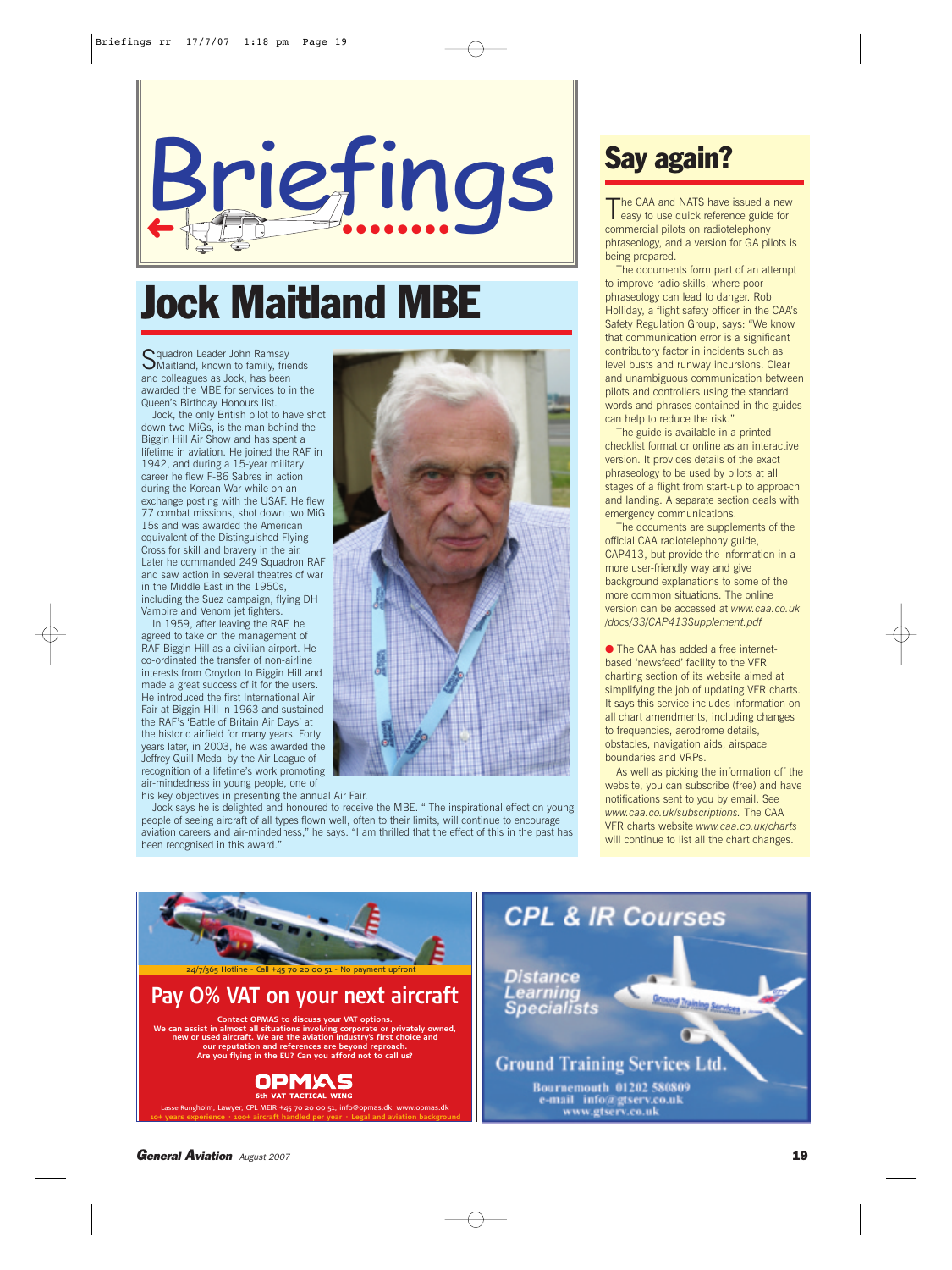

# Jock Maitland MBE

Squadron Leader John Ramsay<br>SMaitland, known to family, friends and colleagues as Jock, has been awarded the MBE for services to in the Queen's Birthday Honours list.

Jock, the only British pilot to have shot down two MiGs, is the man behind the Biggin Hill Air Show and has spent a lifetime in aviation. He joined the RAF in 1942, and during a 15-year military career he flew F-86 Sabres in action during the Korean War while on an exchange posting with the USAF. He flew 77 combat missions, shot down two MiG 15s and was awarded the American equivalent of the Distinguished Flying Cross for skill and bravery in the air. Later he commanded 249 Squadron RAF and saw action in several theatres of war in the Middle East in the 1950s including the Suez campaign, flying DH Vampire and Venom jet fighters.

In 1959, after leaving the RAF, he agreed to take on the management of RAF Biggin Hill as a civilian airport. He co-ordinated the transfer of non-airline interests from Croydon to Biggin Hill and made a great success of it for the users. He introduced the first International Air Fair at Biggin Hill in 1963 and sustained the RAF's 'Battle of Britain Air Days' at the historic airfield for many years. Forty years later, in 2003, he was awarded the Jeffrey Quill Medal by the Air League of recognition of a lifetime's work promoting air-mindedness in young people, one of

his key objectives in presenting the annual Air Fair.

Jock says he is delighted and honoured to receive the MBE. " The inspirational effect on young people of seeing aircraft of all types flown well, often to their limits, will continue to encourage aviation careers and air-mindedness," he says. "I am thrilled that the effect of this in the past has been recognised in this award."



## Say again?

The CAA and NATS have issued a new<br>easy to use quick reference guide for commercial pilots on radiotelephony phraseology, and a version for GA pilots is being prepared.

The documents form part of an attempt to improve radio skills, where poor phraseology can lead to danger. Rob Holliday, a flight safety officer in the CAA's Safety Regulation Group, says: "We know that communication error is a significant contributory factor in incidents such as level busts and runway incursions. Clear and unambiguous communication between pilots and controllers using the standard words and phrases contained in the guides can help to reduce the risk."

The guide is available in a printed checklist format or online as an interactive version. It provides details of the exact phraseology to be used by pilots at all stages of a flight from start-up to approach and landing. A separate section deals with emergency communications.

The documents are supplements of the official CAA radiotelephony guide, CAP413, but provide the information in a more user-friendly way and give background explanations to some of the more common situations. The online version can be accessed at *www.caa.co.uk /docs/33/CAP413Supplement.pdf*

● The CAA has added a free internetbased 'newsfeed' facility to the VFR charting section of its website aimed at simplifying the job of updating VFR charts. It says this service includes information on all chart amendments, including changes to frequencies, aerodrome details, obstacles, navigation aids, airspace boundaries and VRPs.

As well as picking the information off the website, you can subscribe (free) and have notifications sent to you by email. See *www.caa.co.uk/subscriptions.* The CAA VFR charts website *www.caa.co.uk/charts* will continue to list all the chart changes.



*General Aviation August 2007* 19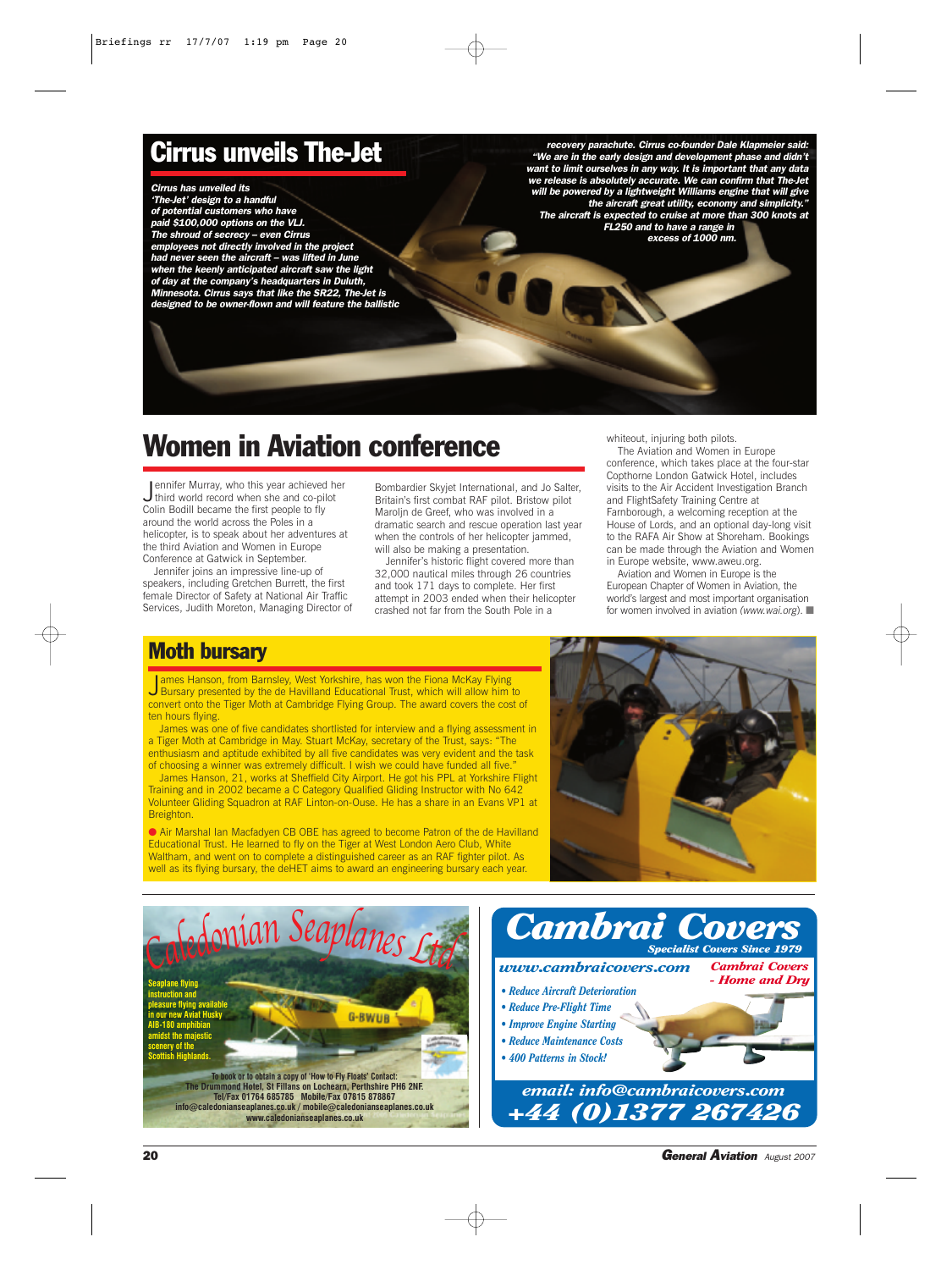### Cirrus unveils The-Jet

*Cirrus has unveiled its 'The-Jet' design to a handful of potential customers who have paid \$100,000 options on the VLJ. The shroud of secrecy – even Cirrus employees not directly involved in the project had never seen the aircraft – was lifted in June when the keenly anticipated aircraft saw the light of day at the company's headquarters in Duluth, Minnesota. Cirrus says that like the SR22, The-Jet is designed to be owner-flown and will feature the ballistic*

*recovery parachute. Cirrus co-founder Dale Klapmeier said: "We are in the early design and development phase and didn't want to limit ourselves in any way. It is important that any data we release is absolutely accurate. We can confirm that The-Jet will be powered by a lightweight Williams engine that will give the aircraft great utility, economy and simplicity." The aircraft is expected to cruise at more than 300 knots at FL250 and to have a range in* 

*excess of 1000 nm.*

## Women in Aviation conference

Jennifer Murray, who this year achieved her<br>third world record when she and co-pilot third world record when she and co-pilot Colin Bodill became the first people to fly around the world across the Poles in a helicopter, is to speak about her adventures at the third Aviation and Women in Europe Conference at Gatwick in September.

Jennifer joins an impressive line-up of speakers, including Gretchen Burrett, the first female Director of Safety at National Air Traffic Services, Judith Moreton, Managing Director of Bombardier Skyjet International, and Jo Salter, Britain's first combat RAF pilot. Bristow pilot Maroljn de Greef, who was involved in a dramatic search and rescue operation last year when the controls of her helicopter jammed, will also be making a presentation.

Jennifer's historic flight covered more than 32,000 nautical miles through 26 countries and took 171 days to complete. Her first attempt in 2003 ended when their helicopter crashed not far from the South Pole in a

whiteout, injuring both pilots.

The Aviation and Women in Europe conference, which takes place at the four-star Copthorne London Gatwick Hotel, includes visits to the Air Accident Investigation Branch and FlightSafety Training Centre at Farnborough, a welcoming reception at the House of Lords, and an optional day-long visit to the RAFA Air Show at Shoreham. Bookings can be made through the Aviation and Women in Europe website, www.aweu.org.

Aviation and Women in Europe is the European Chapter of Women in Aviation, the world's largest and most important organisation for women involved in aviation *(www.wai.org*). ■

#### Moth bursary

James Hanson, from Barnsley, West Yorkshire, has won the Fiona McKay Flying<br>J Bursary presented by the de Havilland Educational Trust, which will allow him Bursary presented by the de Havilland Educational Trust, which will allow him to convert onto the Tiger Moth at Cambridge Flying Group. The award covers the cost of ten hours flying.

James was one of five candidates shortlisted for interview and a flying assessment in a Tiger Moth at Cambridge in May. Stuart McKay, secretary of the Trust, says: "The enthusiasm and aptitude exhibited by all five candidates was very evident and the task of choosing a winner was extremely difficult. I wish we could have funded all five.

James Hanson, 21, works at Sheffield City Airport. He got his PPL at Yorkshire Flight Training and in 2002 became a C Category Qualified Gliding Instructor with No 642 Volunteer Gliding Squadron at RAF Linton-on-Ouse. He has a share in an Evans VP1 at Breighton.

● Air Marshal Ian Macfadyen CB OBE has agreed to become Patron of the de Havilland Educational Trust. He learned to fly on the Tiger at West London Aero Club, White Waltham, and went on to complete a distinguished career as an RAF fighter pilot. As well as its flying bursary, the deHET aims to award an engineering bursary each year.